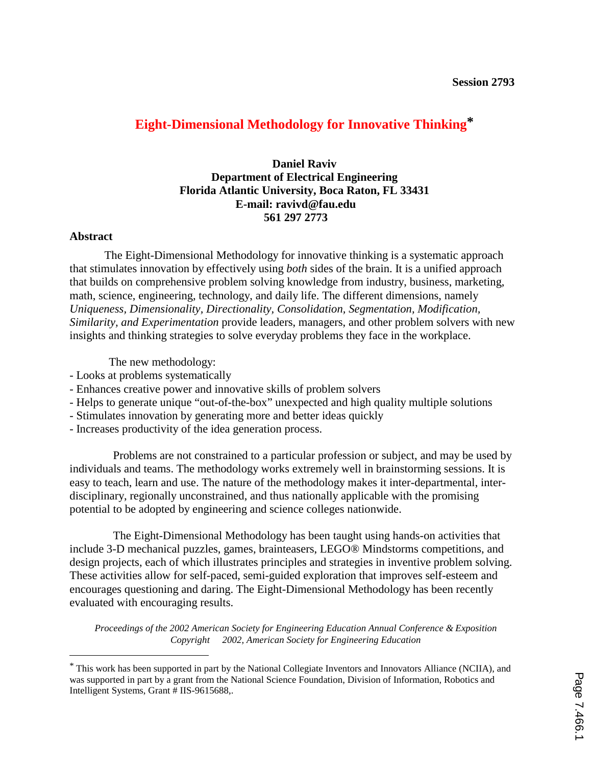# **Eight-Dimensional Methodology for Innovative Thinking\***

# **Daniel Raviv Department of Electrical Engineering Florida Atlantic University, Boca Raton, FL 33431 E-mail: ravivd@fau.edu 561 297 2773**

#### **Abstract**

 $\overline{a}$ 

The Eight-Dimensional Methodology for innovative thinking is a systematic approach that stimulates innovation by effectively using *both* sides of the brain. It is a unified approach that builds on comprehensive problem solving knowledge from industry, business, marketing, math, science, engineering, technology, and daily life. The different dimensions, namely *Uniqueness, Dimensionality, Directionality, Consolidation, Segmentation, Modification, Similarity, and Experimentation* provide leaders, managers, and other problem solvers with new insights and thinking strategies to solve everyday problems they face in the workplace.

The new methodology:

- Looks at problems systematically
- Enhances creative power and innovative skills of problem solvers
- Helps to generate unique "out-of-the-box" unexpected and high quality multiple solutions
- Stimulates innovation by generating more and better ideas quickly
- Increases productivity of the idea generation process.

 Problems are not constrained to a particular profession or subject, and may be used by individuals and teams. The methodology works extremely well in brainstorming sessions. It is easy to teach, learn and use. The nature of the methodology makes it inter-departmental, interdisciplinary, regionally unconstrained, and thus nationally applicable with the promising potential to be adopted by engineering and science colleges nationwide.

 The Eight-Dimensional Methodology has been taught using hands-on activities that include 3-D mechanical puzzles, games, brainteasers, LEGO® Mindstorms competitions, and design projects, each of which illustrates principles and strategies in inventive problem solving. These activities allow for self-paced, semi-guided exploration that improves self-esteem and encourages questioning and daring. The Eight-Dimensional Methodology has been recently evaluated with encouraging results.

<sup>\*</sup> This work has been supported in part by the National Collegiate Inventors and Innovators Alliance (NCIIA), and was supported in part by a grant from the National Science Foundation, Division of Information, Robotics and Intelligent Systems, Grant # IIS-9615688,.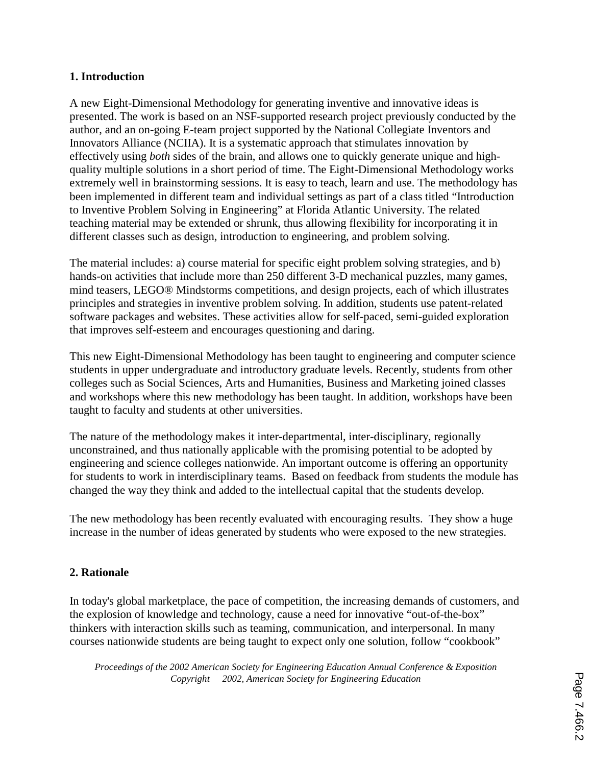#### **1. Introduction**

A new Eight-Dimensional Methodology for generating inventive and innovative ideas is presented. The work is based on an NSF-supported research project previously conducted by the author, and an on-going E-team project supported by the National Collegiate Inventors and Innovators Alliance (NCIIA). It is a systematic approach that stimulates innovation by effectively using *both* sides of the brain, and allows one to quickly generate unique and highquality multiple solutions in a short period of time. The Eight-Dimensional Methodology works extremely well in brainstorming sessions. It is easy to teach, learn and use. The methodology has been implemented in different team and individual settings as part of a class titled "Introduction to Inventive Problem Solving in Engineering" at Florida Atlantic University. The related teaching material may be extended or shrunk, thus allowing flexibility for incorporating it in different classes such as design, introduction to engineering, and problem solving.

The material includes: a) course material for specific eight problem solving strategies, and b) hands-on activities that include more than 250 different 3-D mechanical puzzles, many games, mind teasers, LEGO® Mindstorms competitions, and design projects, each of which illustrates principles and strategies in inventive problem solving. In addition, students use patent-related software packages and websites. These activities allow for self-paced, semi-guided exploration that improves self-esteem and encourages questioning and daring.

This new Eight-Dimensional Methodology has been taught to engineering and computer science students in upper undergraduate and introductory graduate levels. Recently, students from other colleges such as Social Sciences, Arts and Humanities, Business and Marketing joined classes and workshops where this new methodology has been taught. In addition, workshops have been taught to faculty and students at other universities.

The nature of the methodology makes it inter-departmental, inter-disciplinary, regionally unconstrained, and thus nationally applicable with the promising potential to be adopted by engineering and science colleges nationwide. An important outcome is offering an opportunity for students to work in interdisciplinary teams. Based on feedback from students the module has changed the way they think and added to the intellectual capital that the students develop.

The new methodology has been recently evaluated with encouraging results. They show a huge increase in the number of ideas generated by students who were exposed to the new strategies.

## **2. Rationale**

In today's global marketplace, the pace of competition, the increasing demands of customers, and the explosion of knowledge and technology, cause a need for innovative "out-of-the-box" thinkers with interaction skills such as teaming, communication, and interpersonal. In many courses nationwide students are being taught to expect only one solution, follow "cookbook"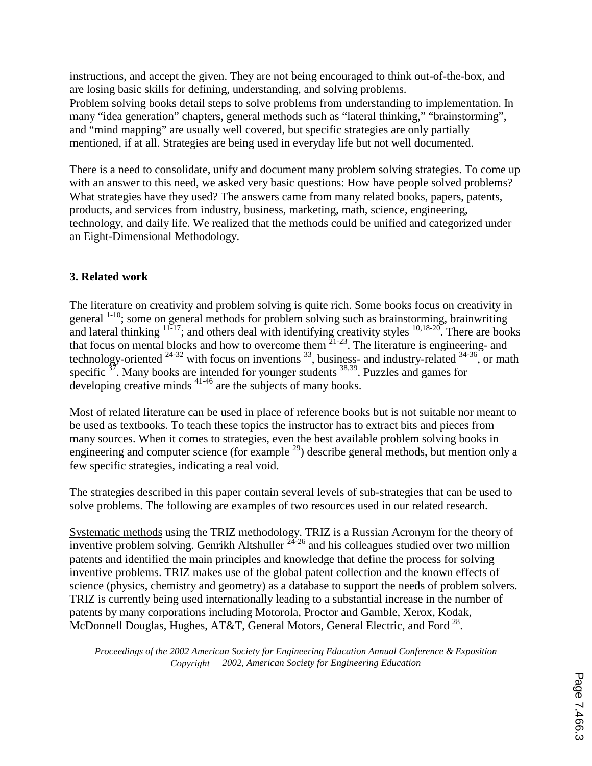instructions, and accept the given. They are not being encouraged to think out-of-the-box, and are losing basic skills for defining, understanding, and solving problems. Problem solving books detail steps to solve problems from understanding to implementation. In many "idea generation" chapters, general methods such as "lateral thinking," "brainstorming", and "mind mapping" are usually well covered, but specific strategies are only partially mentioned, if at all. Strategies are being used in everyday life but not well documented.

There is a need to consolidate, unify and document many problem solving strategies. To come up with an answer to this need, we asked very basic questions: How have people solved problems? What strategies have they used? The answers came from many related books, papers, patents, products, and services from industry, business, marketing, math, science, engineering, technology, and daily life. We realized that the methods could be unified and categorized under an Eight-Dimensional Methodology.

# **3. Related work**

The literature on creativity and problem solving is quite rich. Some books focus on creativity in general  $1-10$ ; some on general methods for problem solving such as brainstorming, brainwriting and lateral thinking  $11^{-17}$ ; and others deal with identifying creativity styles  $10,18-20$ . There are books that focus on mental blocks and how to overcome them  $2^{1-23}$ . The literature is engineering- and technology-oriented  $24-32$  with focus on inventions  $33$ , business- and industry-related  $34-36$ , or math specific  $37$ . Many books are intended for younger students  $38,39$ . Puzzles and games for developing creative minds <sup>41-46</sup> are the subjects of many books.

Most of related literature can be used in place of reference books but is not suitable nor meant to be used as textbooks. To teach these topics the instructor has to extract bits and pieces from many sources. When it comes to strategies, even the best available problem solving books in engineering and computer science (for example  $^{29}$ ) describe general methods, but mention only a few specific strategies, indicating a real void.

The strategies described in this paper contain several levels of sub-strategies that can be used to solve problems. The following are examples of two resources used in our related research.

Systematic methods using the TRIZ methodology. TRIZ is a Russian Acronym for the theory of inventive problem solving. Genrikh Altshuller  $\frac{24.26}{ }$  and his colleagues studied over two million patents and identified the main principles and knowledge that define the process for solving inventive problems. TRIZ makes use of the global patent collection and the known effects of science (physics, chemistry and geometry) as a database to support the needs of problem solvers. TRIZ is currently being used internationally leading to a substantial increase in the number of patents by many corporations including Motorola, Proctor and Gamble, Xerox, Kodak, McDonnell Douglas, Hughes, AT&T, General Motors, General Electric, and Ford  $^{28}$ .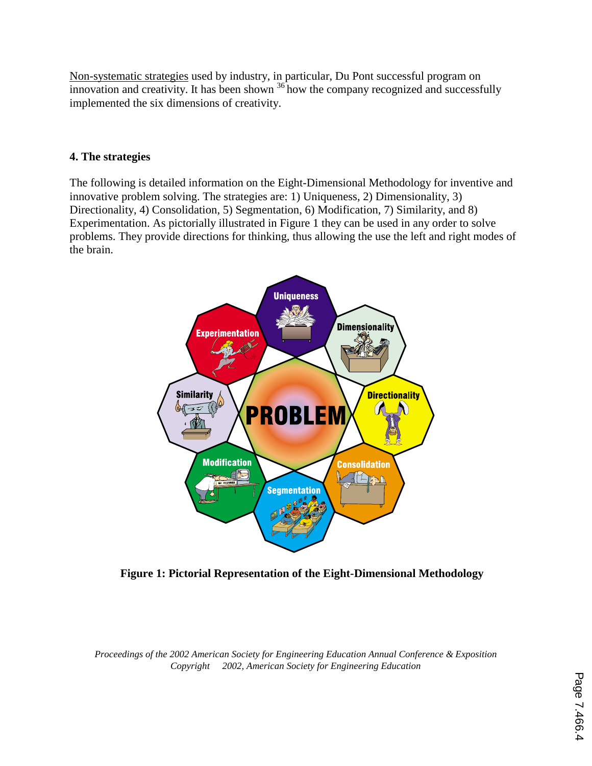Non-systematic strategies used by industry, in particular, Du Pont successful program on innovation and creativity. It has been shown  $36$  how the company recognized and successfully implemented the six dimensions of creativity.

# **4. The strategies**

The following is detailed information on the Eight-Dimensional Methodology for inventive and innovative problem solving. The strategies are: 1) Uniqueness, 2) Dimensionality, 3) Directionality, 4) Consolidation, 5) Segmentation, 6) Modification, 7) Similarity, and 8) Experimentation. As pictorially illustrated in Figure 1 they can be used in any order to solve problems. They provide directions for thinking, thus allowing the use the left and right modes of the brain.



**Figure 1: Pictorial Representation of the Eight-Dimensional Methodology**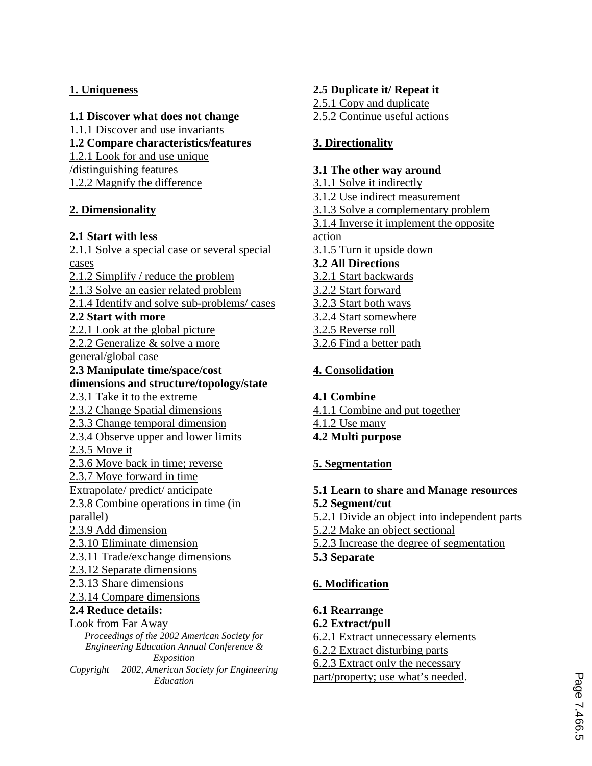# **1. Uniqueness**

**1.1 Discover what does not change** 

1.1.1 Discover and use invariants

**1.2 Compare characteristics/features** 

1.2.1 Look for and use unique

/distinguishing features

1.2.2 Magnify the difference

# **2. Dimensionality**

# **2.1 Start with less**

2.1.1 Solve a special case or several special cases 2.1.2 Simplify / reduce the problem 2.1.3 Solve an easier related problem 2.1.4 Identify and solve sub-problems/ cases **2.2 Start with more**  2.2.1 Look at the global picture 2.2.2 Generalize & solve a more general/global case **2.3 Manipulate time/space/cost dimensions and structure/topology/state**  2.3.1 Take it to the extreme 2.3.2 Change Spatial dimensions 2.3.3 Change temporal dimension 2.3.4 Observe upper and lower limits 2.3.5 Move it 2.3.6 Move back in time; reverse 2.3.7 Move forward in time Extrapolate/ predict/ anticipate 2.3.8 Combine operations in time (in parallel) 2.3.9 Add dimension 2.3.10 Eliminate dimension 2.3.11 Trade/exchange dimensions 2.3.12 Separate dimensions 2.3.13 Share dimensions 2.3.14 Compare dimensions **2.4 Reduce details:**  Look from Far Away *Proceedings of the 2002 American Society for Engineering Education Annual Conference & Exposition* 

*Copyright 2002, American Society for Engineering Education*

# **2.5 Duplicate it/ Repeat it**

2.5.1 Copy and duplicate

2.5.2 Continue useful actions

# **3. Directionality**

# **3.1 The other way around**

- 3.1.1 Solve it indirectly
- 3.1.2 Use indirect measurement
- 3.1.3 Solve a complementary problem
- 3.1.4 Inverse it implement the opposite action
- 3.1.5 Turn it upside down
- **3.2 All Directions**
- 3.2.1 Start backwards
- 3.2.2 Start forward
- 3.2.3 Start both ways
- 3.2.4 Start somewhere
- 3.2.5 Reverse roll
- 3.2.6 Find a better path

# **4. Consolidation**

# **4.1 Combine**

- 4.1.1 Combine and put together
- 4.1.2 Use many
- **4.2 Multi purpose**

# **5. Segmentation**

- **5.1 Learn to share and Manage resources**
- **5.2 Segment/cut**
- 5.2.1 Divide an object into independent parts
- 5.2.2 Make an object sectional
- 5.2.3 Increase the degree of segmentation
- **5.3 Separate**

# **6. Modification**

- **6.1 Rearrange**
- **6.2 Extract/pull**
- 6.2.1 Extract unnecessary elements
- 6.2.2 Extract disturbing parts
- 6.2.3 Extract only the necessary part/property; use what's needed.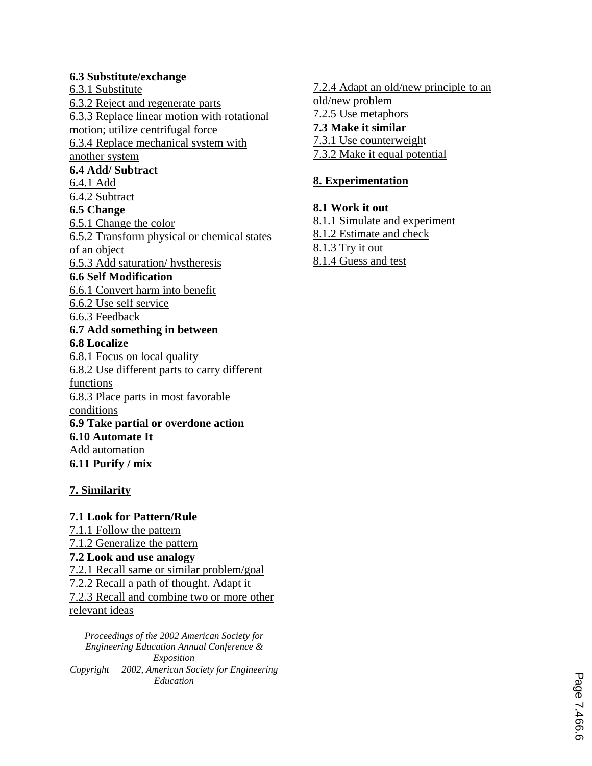### **6.3 Substitute/exchange**

6.3.1 Substitute 6.3.2 Reject and regenerate parts 6.3.3 Replace linear motion with rotational motion; utilize centrifugal force 6.3.4 Replace mechanical system with another system **6.4 Add/ Subtract**  6.4.1 Add 6.4.2 Subtract **6.5 Change**  6.5.1 Change the color 6.5.2 Transform physical or chemical states of an object 6.5.3 Add saturation/ hystheresis **6.6 Self Modification**  6.6.1 Convert harm into benefit 6.6.2 Use self service 6.6.3 Feedback **6.7 Add something in between 6.8 Localize**  6.8.1 Focus on local quality 6.8.2 Use different parts to carry different functions 6.8.3 Place parts in most favorable conditions **6.9 Take partial or overdone action 6.10 Automate It**  Add automation **6.11 Purify / mix** 

# **7. Similarity**

#### **7.1 Look for Pattern/Rule**

7.1.1 Follow the pattern 7.1.2 Generalize the pattern **7.2 Look and use analogy** 7.2.1 Recall same or similar problem/goal 7.2.2 Recall a path of thought. Adapt it 7.2.3 Recall and combine two or more other relevant ideas

*Proceedings of the 2002 American Society for Engineering Education Annual Conference & Exposition Copyright 2002, American Society for Engineering Education*

7.2.4 Adapt an old/new principle to an old/new problem 7.2.5 Use metaphors **7.3 Make it similar**  7.3.1 Use counterweight 7.3.2 Make it equal potential

# **8. Experimentation**

**8.1 Work it out**  8.1.1 Simulate and experiment 8.1.2 Estimate and check 8.1.3 Try it out 8.1.4 Guess and test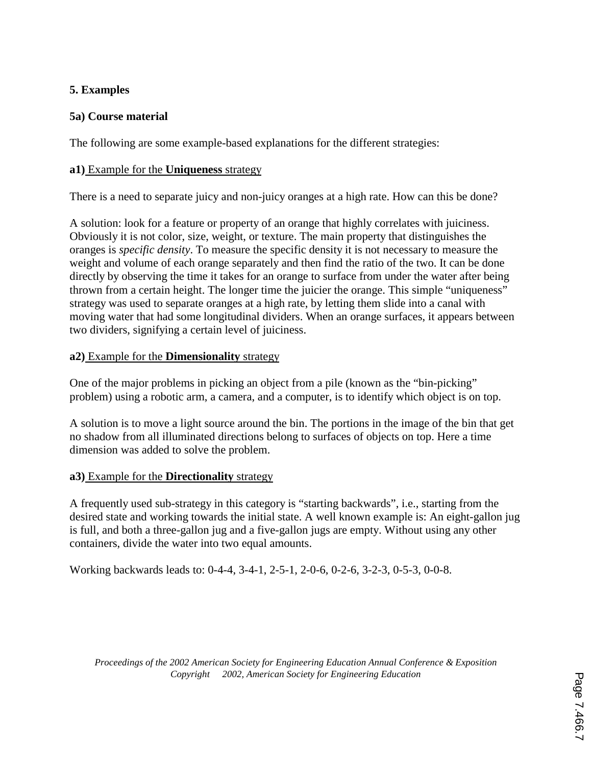# **5. Examples**

# **5a) Course material**

The following are some example-based explanations for the different strategies:

### **a1)** Example for the **Uniqueness** strategy

There is a need to separate juicy and non-juicy oranges at a high rate. How can this be done?

A solution: look for a feature or property of an orange that highly correlates with juiciness. Obviously it is not color, size, weight, or texture. The main property that distinguishes the oranges is *specific density*. To measure the specific density it is not necessary to measure the weight and volume of each orange separately and then find the ratio of the two. It can be done directly by observing the time it takes for an orange to surface from under the water after being thrown from a certain height. The longer time the juicier the orange. This simple "uniqueness" strategy was used to separate oranges at a high rate, by letting them slide into a canal with moving water that had some longitudinal dividers. When an orange surfaces, it appears between two dividers, signifying a certain level of juiciness.

#### **a2)** Example for the **Dimensionality** strategy

One of the major problems in picking an object from a pile (known as the "bin-picking" problem) using a robotic arm, a camera, and a computer, is to identify which object is on top.

A solution is to move a light source around the bin. The portions in the image of the bin that get no shadow from all illuminated directions belong to surfaces of objects on top. Here a time dimension was added to solve the problem.

## **a3)** Example for the **Directionality** strategy

A frequently used sub-strategy in this category is "starting backwards", i.e., starting from the desired state and working towards the initial state. A well known example is: An eight-gallon jug is full, and both a three-gallon jug and a five-gallon jugs are empty. Without using any other containers, divide the water into two equal amounts.

Working backwards leads to: 0-4-4, 3-4-1, 2-5-1, 2-0-6, 0-2-6, 3-2-3, 0-5-3, 0-0-8.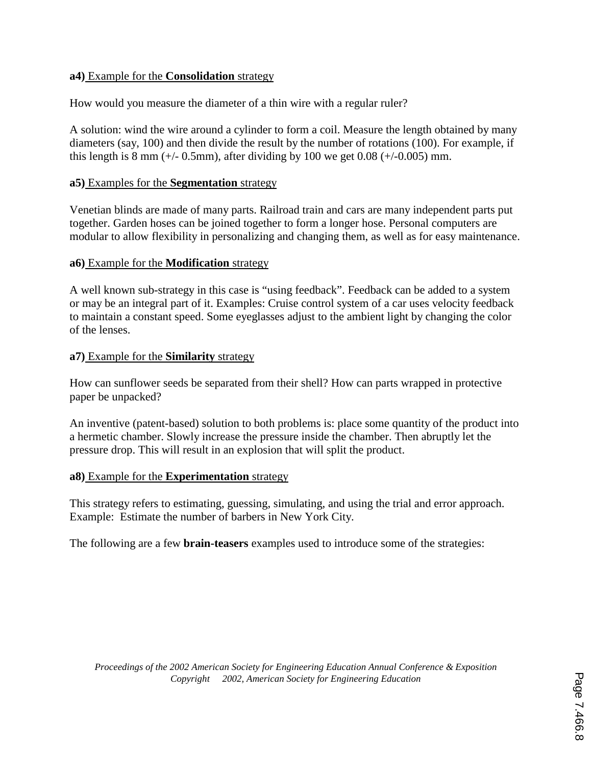### **a4)** Example for the **Consolidation** strategy

How would you measure the diameter of a thin wire with a regular ruler?

A solution: wind the wire around a cylinder to form a coil. Measure the length obtained by many diameters (say, 100) and then divide the result by the number of rotations (100). For example, if this length is 8 mm ( $+/- 0.5$ mm), after dividing by 100 we get 0.08 ( $+/- 0.005$ ) mm.

#### **a5)** Examples for the **Segmentation** strategy

Venetian blinds are made of many parts. Railroad train and cars are many independent parts put together. Garden hoses can be joined together to form a longer hose. Personal computers are modular to allow flexibility in personalizing and changing them, as well as for easy maintenance.

#### **a6)** Example for the **Modification** strategy

A well known sub-strategy in this case is "using feedback". Feedback can be added to a system or may be an integral part of it. Examples: Cruise control system of a car uses velocity feedback to maintain a constant speed. Some eyeglasses adjust to the ambient light by changing the color of the lenses.

#### **a7)** Example for the **Similarity** strategy

How can sunflower seeds be separated from their shell? How can parts wrapped in protective paper be unpacked?

An inventive (patent-based) solution to both problems is: place some quantity of the product into a hermetic chamber. Slowly increase the pressure inside the chamber. Then abruptly let the pressure drop. This will result in an explosion that will split the product.

#### **a8)** Example for the **Experimentation** strategy

This strategy refers to estimating, guessing, simulating, and using the trial and error approach. Example: Estimate the number of barbers in New York City.

The following are a few **brain-teasers** examples used to introduce some of the strategies: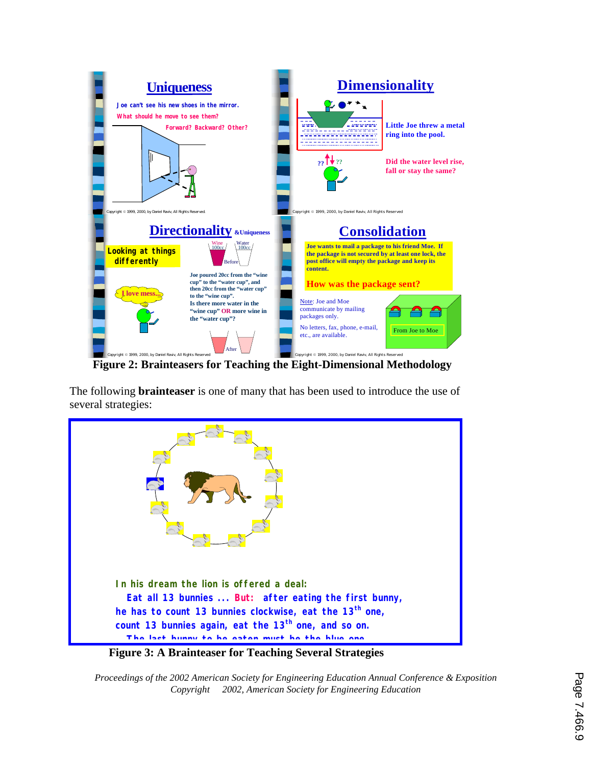

 **Figure 2: Brainteasers for Teaching the Eight-Dimensional Methodology** 

The following **brainteaser** is one of many that has been used to introduce the use of several strategies:

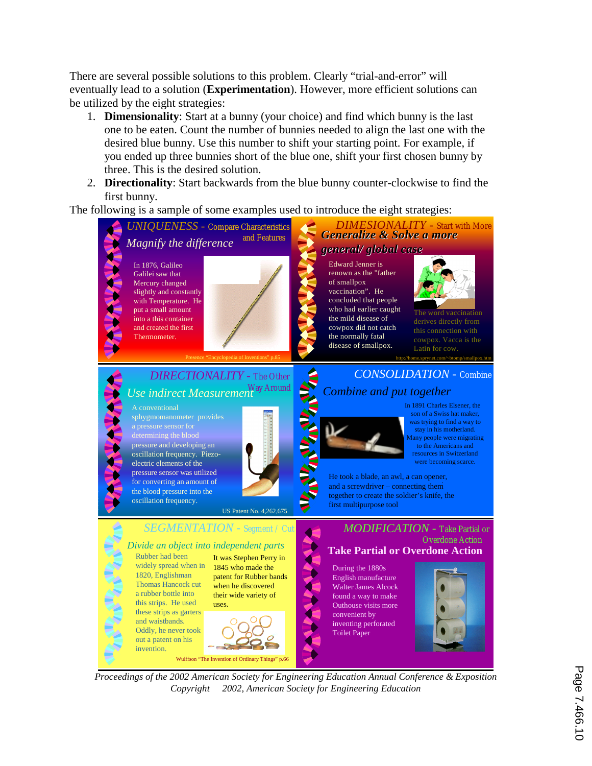There are several possible solutions to this problem. Clearly "trial-and-error" will eventually lead to a solution (**Experimentation**). However, more efficient solutions can be utilized by the eight strategies:

- 1. **Dimensionality**: Start at a bunny (your choice) and find which bunny is the last one to be eaten. Count the number of bunnies needed to align the last one with the desired blue bunny. Use this number to shift your starting point. For example, if you ended up three bunnies short of the blue one, shift your first chosen bunny by three. This is the desired solution.
- 2. **Directionality**: Start backwards from the blue bunny counter-clockwise to find the first bunny.

The following is a sample of some examples used to introduce the eight strategies:



*Proceedings of the 2002 American Society for Engineering Education Annual Conference & Exposition Copyright 2002, American Society for Engineering Education*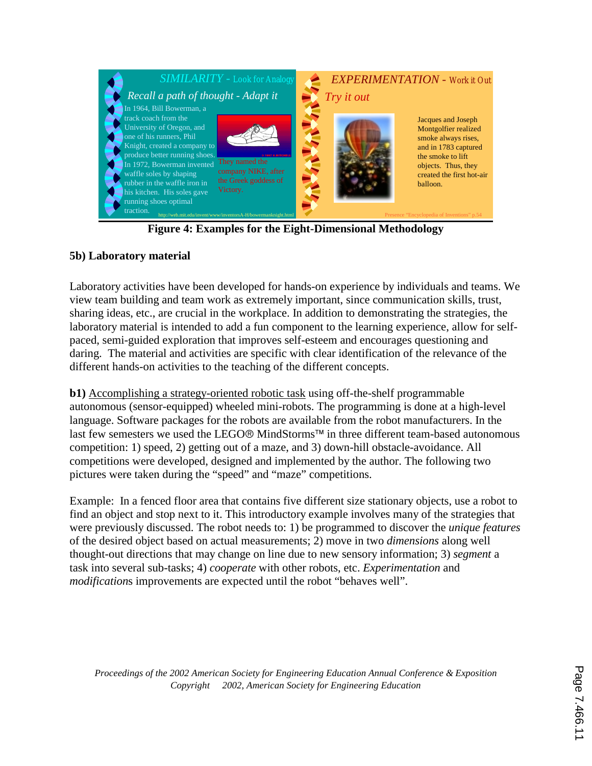

**Figure 4: Examples for the Eight-Dimensional Methodology** 

# **5b) Laboratory material**

Laboratory activities have been developed for hands-on experience by individuals and teams. We view team building and team work as extremely important, since communication skills, trust, sharing ideas, etc., are crucial in the workplace. In addition to demonstrating the strategies, the laboratory material is intended to add a fun component to the learning experience, allow for selfpaced, semi-guided exploration that improves self-esteem and encourages questioning and daring. The material and activities are specific with clear identification of the relevance of the different hands-on activities to the teaching of the different concepts.

**b1)** Accomplishing a strategy-oriented robotic task using off-the-shelf programmable autonomous (sensor-equipped) wheeled mini-robots. The programming is done at a high-level language. Software packages for the robots are available from the robot manufacturers. In the last few semesters we used the LEGO® MindStorms™ in three different team-based autonomous competition: 1) speed, 2) getting out of a maze, and 3) down-hill obstacle-avoidance. All competitions were developed, designed and implemented by the author. The following two pictures were taken during the "speed" and "maze" competitions.

Example: In a fenced floor area that contains five different size stationary objects, use a robot to find an object and stop next to it. This introductory example involves many of the strategies that were previously discussed. The robot needs to: 1) be programmed to discover the *unique features* of the desired object based on actual measurements; 2) move in two *dimensions* along well thought-out directions that may change on line due to new sensory information; 3) *segment* a task into several sub-tasks; 4) *cooperate* with other robots, etc. *Experimentation* and *modification*s improvements are expected until the robot "behaves well".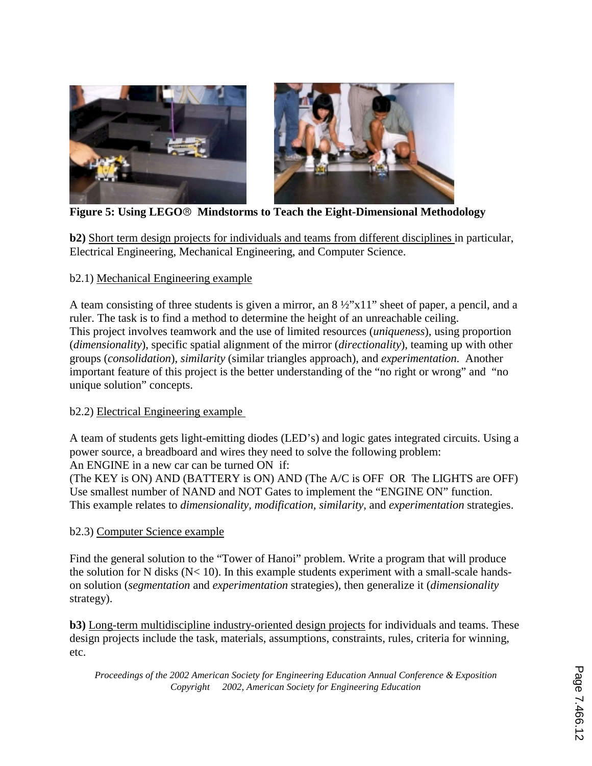

**Figure 5: Using LEGO Mindstorms to Teach the Eight-Dimensional Methodology** 

**b2)** Short term design projects for individuals and teams from different disciplines in particular, Electrical Engineering, Mechanical Engineering, and Computer Science.

# b2.1) Mechanical Engineering example

A team consisting of three students is given a mirror, an 8 ½"x11" sheet of paper, a pencil, and a ruler. The task is to find a method to determine the height of an unreachable ceiling. This project involves teamwork and the use of limited resources (*uniqueness*), using proportion (*dimensionality*), specific spatial alignment of the mirror (*directionality*), teaming up with other groups (*consolidation*), *similarity* (similar triangles approach), and *experimentation*. Another important feature of this project is the better understanding of the "no right or wrong" and "no unique solution" concepts.

## b2.2) Electrical Engineering example

A team of students gets light-emitting diodes (LED's) and logic gates integrated circuits. Using a power source, a breadboard and wires they need to solve the following problem: An ENGINE in a new car can be turned ON if:

(The KEY is ON) AND (BATTERY is ON) AND (The A/C is OFF OR The LIGHTS are OFF) Use smallest number of NAND and NOT Gates to implement the "ENGINE ON" function. This example relates to *dimensionality, modification, similarity*, and *experimentation* strategies.

## b2.3) Computer Science example

Find the general solution to the "Tower of Hanoi" problem. Write a program that will produce the solution for N disks (N< 10). In this example students experiment with a small-scale handson solution (*segmentation* and *experimentation* strategies), then generalize it (*dimensionality* strategy).

**b3**) Long-term multidiscipline industry-oriented design projects for individuals and teams. These design projects include the task, materials, assumptions, constraints, rules, criteria for winning, etc.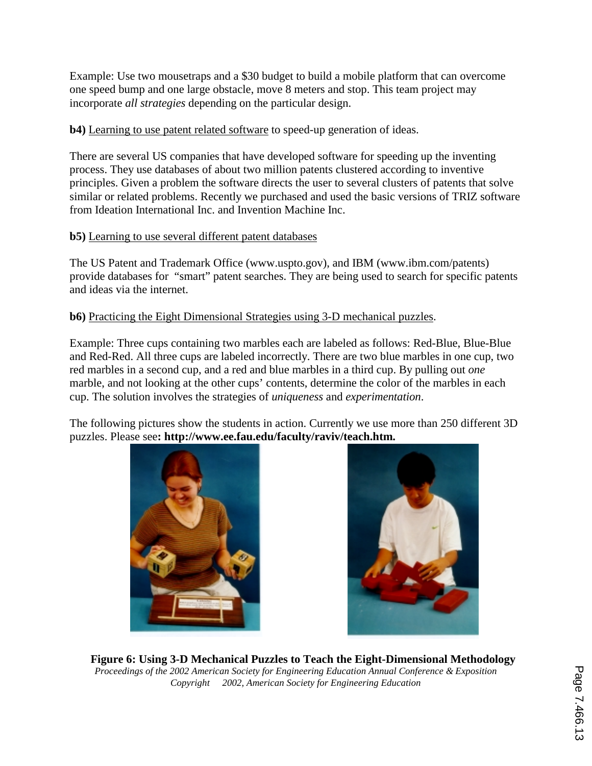Example: Use two mousetraps and a \$30 budget to build a mobile platform that can overcome one speed bump and one large obstacle, move 8 meters and stop. This team project may incorporate *all strategies* depending on the particular design.

**b4)** Learning to use patent related software to speed-up generation of ideas.

There are several US companies that have developed software for speeding up the inventing process. They use databases of about two million patents clustered according to inventive principles. Given a problem the software directs the user to several clusters of patents that solve similar or related problems. Recently we purchased and used the basic versions of TRIZ software from Ideation International Inc. and Invention Machine Inc.

## **b5)** Learning to use several different patent databases

The US Patent and Trademark Office (www.uspto.gov), and IBM (www.ibm.com/patents) provide databases for "smart" patent searches. They are being used to search for specific patents and ideas via the internet.

# **b6)** Practicing the Eight Dimensional Strategies using 3-D mechanical puzzles.

Example: Three cups containing two marbles each are labeled as follows: Red-Blue, Blue-Blue and Red-Red. All three cups are labeled incorrectly. There are two blue marbles in one cup, two red marbles in a second cup, and a red and blue marbles in a third cup. By pulling out *one* marble, and not looking at the other cups' contents, determine the color of the marbles in each cup. The solution involves the strategies of *uniqueness* and *experimentation*.

The following pictures show the students in action. Currently we use more than 250 different 3D puzzles. Please see**: http://www.ee.fau.edu/faculty/raviv/teach.htm.** 





 **Figure 6: Using 3-D Mechanical Puzzles to Teach the Eight-Dimensional Methodology** *Proceedings of the 2002 American Society for Engineering Education Annual Conference & Exposition Copyright 2002, American Society for Engineering Education*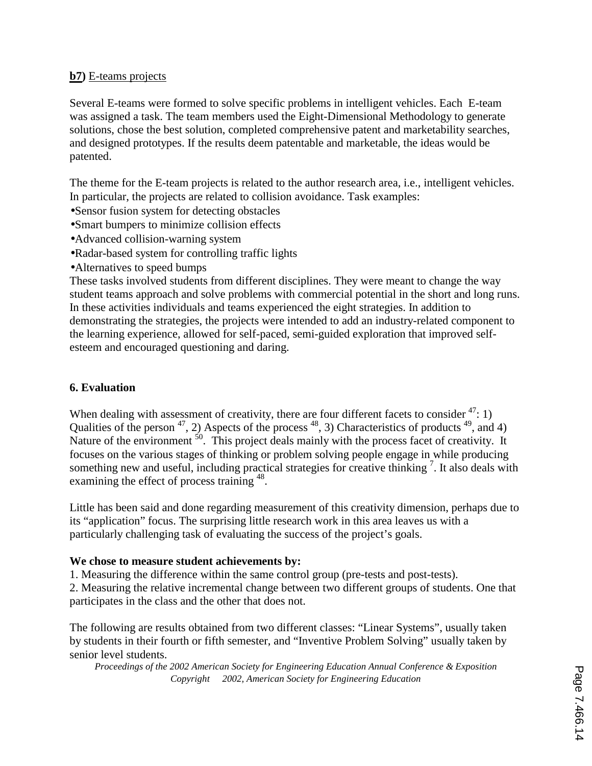### **b7)** E-teams projects

Several E-teams were formed to solve specific problems in intelligent vehicles. Each E-team was assigned a task. The team members used the Eight-Dimensional Methodology to generate solutions, chose the best solution, completed comprehensive patent and marketability searches, and designed prototypes. If the results deem patentable and marketable, the ideas would be patented.

The theme for the E-team projects is related to the author research area, i.e., intelligent vehicles. In particular, the projects are related to collision avoidance. Task examples:

- •Sensor fusion system for detecting obstacles
- •Smart bumpers to minimize collision effects
- •Advanced collision-warning system
- •Radar-based system for controlling traffic lights
- •Alternatives to speed bumps

These tasks involved students from different disciplines. They were meant to change the way student teams approach and solve problems with commercial potential in the short and long runs. In these activities individuals and teams experienced the eight strategies. In addition to demonstrating the strategies, the projects were intended to add an industry-related component to the learning experience, allowed for self-paced, semi-guided exploration that improved selfesteem and encouraged questioning and daring.

## **6. Evaluation**

When dealing with assessment of creativity, there are four different facets to consider  $47:1$ ) Qualities of the person  $47$ , 2) Aspects of the process  $48$ , 3) Characteristics of products  $49$ , and 4) Nature of the environment <sup>50</sup>. This project deals mainly with the process facet of creativity. It focuses on the various stages of thinking or problem solving people engage in while producing something new and useful, including practical strategies for creative thinking<sup>7</sup>. It also deals with examining the effect of process training <sup>48</sup>.

Little has been said and done regarding measurement of this creativity dimension, perhaps due to its "application" focus. The surprising little research work in this area leaves us with a particularly challenging task of evaluating the success of the project's goals.

#### **We chose to measure student achievements by:**

1. Measuring the difference within the same control group (pre-tests and post-tests).

2. Measuring the relative incremental change between two different groups of students. One that participates in the class and the other that does not.

The following are results obtained from two different classes: "Linear Systems", usually taken by students in their fourth or fifth semester, and "Inventive Problem Solving" usually taken by senior level students.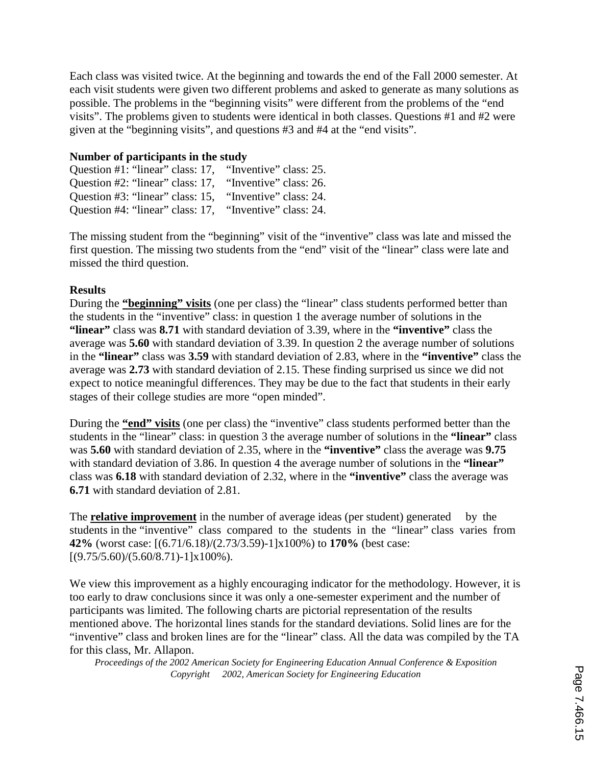Each class was visited twice. At the beginning and towards the end of the Fall 2000 semester. At each visit students were given two different problems and asked to generate as many solutions as possible. The problems in the "beginning visits" were different from the problems of the "end visits". The problems given to students were identical in both classes. Questions #1 and #2 were given at the "beginning visits", and questions #3 and #4 at the "end visits".

#### **Number of participants in the study**

Question #1: "linear" class: 17, "Inventive" class: 25. Question #2: "linear" class: 17, "Inventive" class: 26. Question #3: "linear" class: 15, "Inventive" class: 24. Question #4: "linear" class: 17, "Inventive" class: 24.

The missing student from the "beginning" visit of the "inventive" class was late and missed the first question. The missing two students from the "end" visit of the "linear" class were late and missed the third question.

#### **Results**

During the **"beginning" visits** (one per class) the "linear" class students performed better than the students in the "inventive" class: in question 1 the average number of solutions in the **"linear"** class was **8.71** with standard deviation of 3.39, where in the **"inventive"** class the average was **5.60** with standard deviation of 3.39. In question 2 the average number of solutions in the **"linear"** class was **3.59** with standard deviation of 2.83, where in the **"inventive"** class the average was **2.73** with standard deviation of 2.15. These finding surprised us since we did not expect to notice meaningful differences. They may be due to the fact that students in their early stages of their college studies are more "open minded".

During the **"end" visits** (one per class) the "inventive" class students performed better than the students in the "linear" class: in question 3 the average number of solutions in the **"linear"** class was **5.60** with standard deviation of 2.35, where in the **"inventive"** class the average was **9.75** with standard deviation of 3.86. In question 4 the average number of solutions in the **"linear"** class was **6.18** with standard deviation of 2.32, where in the **"inventive"** class the average was **6.71** with standard deviation of 2.81.

The **relative improvement** in the number of average ideas (per student) generated by the students in the "inventive" class compared to the students in the "linear" class varies from **42%** (worst case: [(6.71/6.18)/(2.73/3.59)-1]x100%) to **170%** (best case:  $[(9.75/5.60)/(5.60/8.71)-1] \times 100\%$ ).

We view this improvement as a highly encouraging indicator for the methodology. However, it is too early to draw conclusions since it was only a one-semester experiment and the number of participants was limited. The following charts are pictorial representation of the results mentioned above. The horizontal lines stands for the standard deviations. Solid lines are for the "inventive" class and broken lines are for the "linear" class. All the data was compiled by the TA for this class, Mr. Allapon.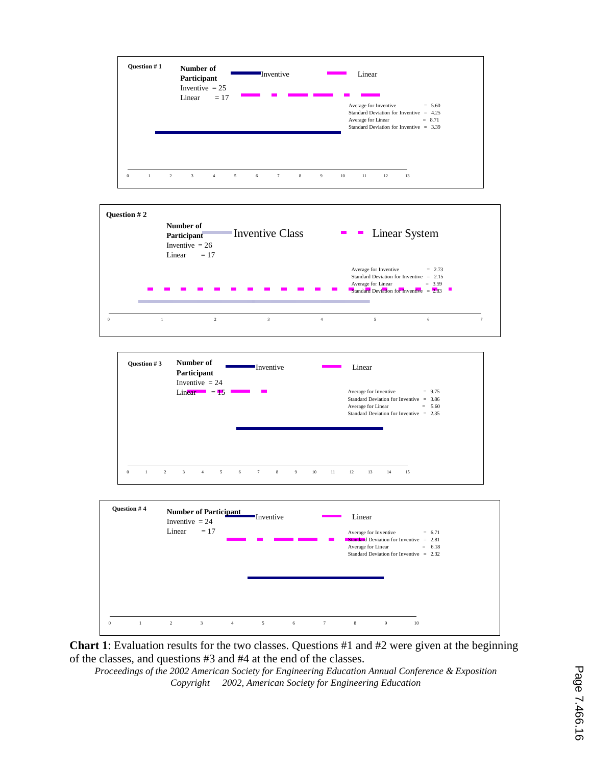







**Chart 1**: Evaluation results for the two classes. Questions #1 and #2 were given at the beginning of the classes, and questions #3 and #4 at the end of the classes.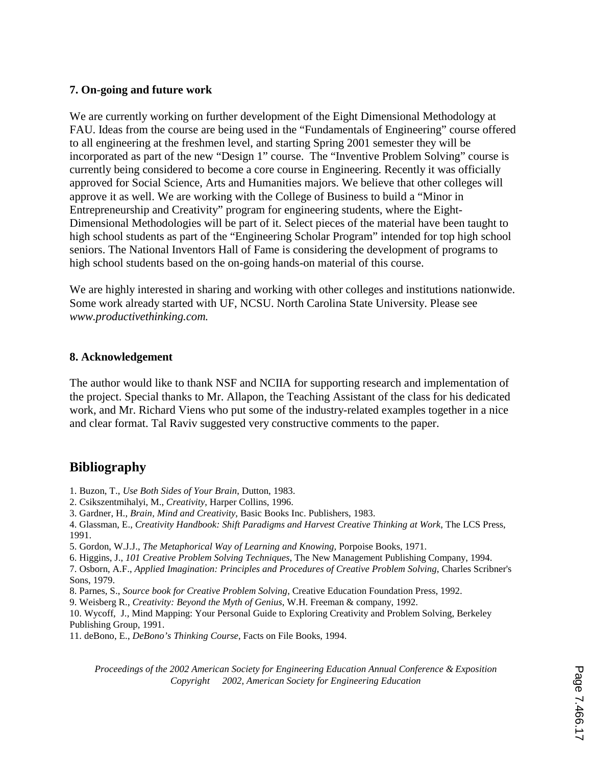### **7. On-going and future work**

We are currently working on further development of the Eight Dimensional Methodology at FAU. Ideas from the course are being used in the "Fundamentals of Engineering" course offered to all engineering at the freshmen level, and starting Spring 2001 semester they will be incorporated as part of the new "Design 1" course. The "Inventive Problem Solving" course is currently being considered to become a core course in Engineering. Recently it was officially approved for Social Science, Arts and Humanities majors. We believe that other colleges will approve it as well. We are working with the College of Business to build a "Minor in Entrepreneurship and Creativity" program for engineering students, where the Eight-Dimensional Methodologies will be part of it. Select pieces of the material have been taught to high school students as part of the "Engineering Scholar Program" intended for top high school seniors. The National Inventors Hall of Fame is considering the development of programs to high school students based on the on-going hands-on material of this course.

We are highly interested in sharing and working with other colleges and institutions nationwide. Some work already started with UF, NCSU. North Carolina State University. Please see *www.productivethinking.com.*

#### **8. Acknowledgement**

The author would like to thank NSF and NCIIA for supporting research and implementation of the project. Special thanks to Mr. Allapon, the Teaching Assistant of the class for his dedicated work, and Mr. Richard Viens who put some of the industry-related examples together in a nice and clear format. Tal Raviv suggested very constructive comments to the paper.

# **Bibliography**

- 1. Buzon, T., *Use Both Sides of Your Brain*, Dutton, 1983.
- 2. Csikszentmihalyi, M., *Creativity*, Harper Collins, 1996.
- 3. Gardner, H., *Brain, Mind and Creativity*, Basic Books Inc. Publishers, 1983.

4. Glassman, E., *Creativity Handbook: Shift Paradigms and Harvest Creative Thinking at Work*, The LCS Press, 1991.

5. Gordon, W.J.J., *The Metaphorical Way of Learning and Knowing,* Porpoise Books, 1971.

6. Higgins, J., *101 Creative Problem Solving Techniques*, The New Management Publishing Company, 1994.

7. Osborn, A.F., *Applied Imagination: Principles and Procedures of Creative Problem Solving*, Charles Scribner's Sons, 1979.

8. Parnes, S., *Source book for Creative Problem Solving*, Creative Education Foundation Press, 1992.

9. Weisberg R., *Creativity: Beyond the Myth of Genius*, W.H. Freeman & company, 1992.

10. Wycoff, J., Mind Mapping: Your Personal Guide to Exploring Creativity and Problem Solving, Berkeley Publishing Group, 1991.

11. deBono, E., *DeBono's Thinking Course*, Facts on File Books, 1994.